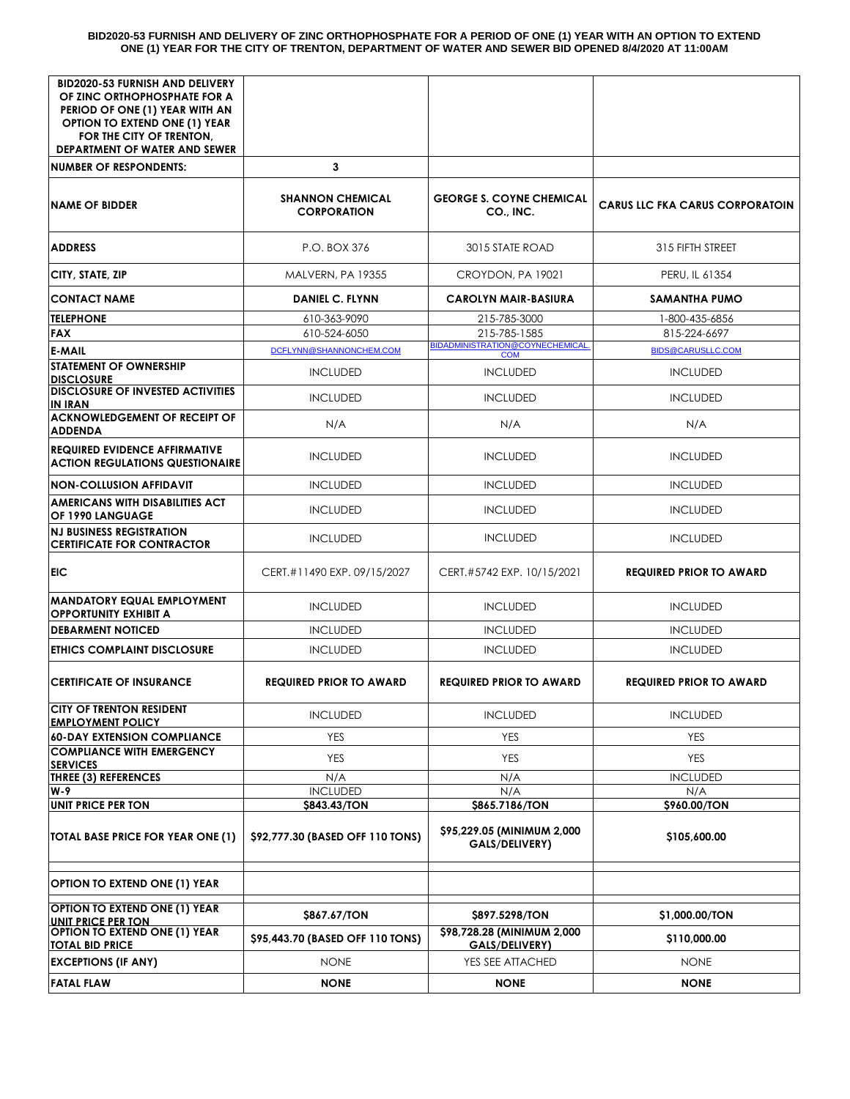#### **BID2020-53 FURNISH AND DELIVERY OF ZINC ORTHOPHOSPHATE FOR A PERIOD OF ONE (1) YEAR WITH AN OPTION TO EXTEND ONE (1) YEAR FOR THE CITY OF TRENTON, DEPARTMENT OF WATER AND SEWER BID OPENED 8/4/2020 AT 11:00AM**

| <b>BID2020-53 FURNISH AND DELIVERY</b><br>OF ZINC ORTHOPHOSPHATE FOR A<br>PERIOD OF ONE (1) YEAR WITH AN<br><b>OPTION TO EXTEND ONE (1) YEAR</b><br>FOR THE CITY OF TRENTON, |                                               |                                                      |                                        |
|------------------------------------------------------------------------------------------------------------------------------------------------------------------------------|-----------------------------------------------|------------------------------------------------------|----------------------------------------|
| <b>DEPARTMENT OF WATER AND SEWER</b>                                                                                                                                         |                                               |                                                      |                                        |
| <b>NUMBER OF RESPONDENTS:</b>                                                                                                                                                | 3                                             |                                                      |                                        |
| <b>NAME OF BIDDER</b>                                                                                                                                                        | <b>SHANNON CHEMICAL</b><br><b>CORPORATION</b> | <b>GEORGE S. COYNE CHEMICAL</b><br>CO., INC.         | <b>CARUS LLC FKA CARUS CORPORATOIN</b> |
| <b>ADDRESS</b>                                                                                                                                                               | P.O. BOX 376                                  | 3015 STATE ROAD                                      | 315 FIFTH STREET                       |
| CITY, STATE, ZIP                                                                                                                                                             | MALVERN, PA 19355                             | CROYDON, PA 19021                                    | PERU, IL 61354                         |
| <b>CONTACT NAME</b>                                                                                                                                                          | <b>DANIEL C. FLYNN</b>                        | <b>CAROLYN MAIR-BASIURA</b>                          | <b>SAMANTHA PUMO</b>                   |
| <b>TELEPHONE</b>                                                                                                                                                             | 610-363-9090                                  | 215-785-3000                                         | 1-800-435-6856                         |
| <b>FAX</b>                                                                                                                                                                   | 610-524-6050                                  | 215-785-1585                                         | 815-224-6697                           |
| <b>E-MAIL</b>                                                                                                                                                                | DCFLYNN@SHANNONCHEM.COM                       | <b>BIDADMINISTRATION@COYNECHEMICAL</b><br><b>COM</b> | <b>BIDS@CARUSLLC.COM</b>               |
| <b>STATEMENT OF OWNERSHIP</b><br><b>DISCLOSURE</b>                                                                                                                           | <b>INCLUDED</b>                               | <b>INCLUDED</b>                                      | <b>INCLUDED</b>                        |
| <b>DISCLOSURE OF INVESTED ACTIVITIES</b><br><b>IN IRAN</b>                                                                                                                   | <b>INCLUDED</b>                               | <b>INCLUDED</b>                                      | <b>INCLUDED</b>                        |
| <b>ACKNOWLEDGEMENT OF RECEIPT OF</b><br><b>ADDENDA</b>                                                                                                                       | N/A                                           | N/A                                                  | N/A                                    |
| <b>REQUIRED EVIDENCE AFFIRMATIVE</b><br><b>ACTION REGULATIONS QUESTIONAIRE</b>                                                                                               | <b>INCLUDED</b>                               | <b>INCLUDED</b>                                      | <b>INCLUDED</b>                        |
| <b>NON-COLLUSION AFFIDAVIT</b>                                                                                                                                               | <b>INCLUDED</b>                               | <b>INCLUDED</b>                                      | <b>INCLUDED</b>                        |
| AMERICANS WITH DISABILITIES ACT<br>OF 1990 LANGUAGE                                                                                                                          | <b>INCLUDED</b>                               | <b>INCLUDED</b>                                      | <b>INCLUDED</b>                        |
| <b>NJ BUSINESS REGISTRATION</b><br><b>CERTIFICATE FOR CONTRACTOR</b>                                                                                                         | <b>INCLUDED</b>                               | <b>INCLUDED</b>                                      | <b>INCLUDED</b>                        |
| <b>EIC</b>                                                                                                                                                                   | CERT.#11490 EXP. 09/15/2027                   | CERT.#5742 EXP. 10/15/2021                           | <b>REQUIRED PRIOR TO AWARD</b>         |
| <b>MANDATORY EQUAL EMPLOYMENT</b><br><b>OPPORTUNITY EXHIBIT A</b>                                                                                                            | <b>INCLUDED</b>                               | <b>INCLUDED</b>                                      | <b>INCLUDED</b>                        |
| <b>DEBARMENT NOTICED</b>                                                                                                                                                     | <b>INCLUDED</b>                               | <b>INCLUDED</b>                                      | <b>INCLUDED</b>                        |
| ETHICS COMPLAINT DISCLOSURE                                                                                                                                                  | <b>INCLUDED</b>                               | <b>INCLUDED</b>                                      | <b>INCLUDED</b>                        |
| <b>CERTIFICATE OF INSURANCE</b>                                                                                                                                              | <b>REQUIRED PRIOR TO AWARD</b>                | <b>REQUIRED PRIOR TO AWARD</b>                       | <b>REQUIRED PRIOR TO AWARD</b>         |
| <b>CITY OF TRENTON RESIDENT</b><br><b>EMPLOYMENT POLICY</b>                                                                                                                  | <b>INCLUDED</b>                               | <b>INCLUDED</b>                                      | <b>INCLUDED</b>                        |
| <b>60-DAY EXTENSION COMPLIANCE</b>                                                                                                                                           | <b>YES</b>                                    | <b>YES</b>                                           | <b>YES</b>                             |
| <b>COMPLIANCE WITH EMERGENCY</b><br><b>SERVICES</b>                                                                                                                          | <b>YES</b>                                    | <b>YES</b>                                           | <b>YES</b>                             |
| <b>THREE (3) REFERENCES</b>                                                                                                                                                  | N/A                                           | N/A                                                  | <b>INCLUDED</b>                        |
| W-9                                                                                                                                                                          | <b>INCLUDED</b>                               | N/A                                                  | N/A                                    |
| <b>UNIT PRICE PER TON</b>                                                                                                                                                    | \$843.43/TON                                  | \$865.7186/TON                                       | \$960.00/TON                           |
| TOTAL BASE PRICE FOR YEAR ONE (1)                                                                                                                                            | \$92,777.30 (BASED OFF 110 TONS)              | \$95,229.05 (MINIMUM 2,000<br><b>GALS/DELIVERY)</b>  | \$105,600.00                           |
| <b>OPTION TO EXTEND ONE (1) YEAR</b>                                                                                                                                         |                                               |                                                      |                                        |
| <b>OPTION TO EXTEND ONE (1) YEAR</b><br><b>UNIT PRICE PER TON</b>                                                                                                            | \$867.67/TON                                  | \$897.5298/TON                                       | \$1,000.00/TON                         |
| OPTION TO EXTEND ONE (1) YEAR<br><b>TOTAL BID PRICE</b>                                                                                                                      | \$95,443.70 (BASED OFF 110 TONS)              | \$98,728.28 (MINIMUM 2,000<br><b>GALS/DELIVERY)</b>  | \$110,000.00                           |
| <b>EXCEPTIONS (IF ANY)</b>                                                                                                                                                   | <b>NONE</b>                                   | YES SEE ATTACHED                                     | <b>NONE</b>                            |
| <b>FATAL FLAW</b>                                                                                                                                                            | <b>NONE</b>                                   | <b>NONE</b>                                          | <b>NONE</b>                            |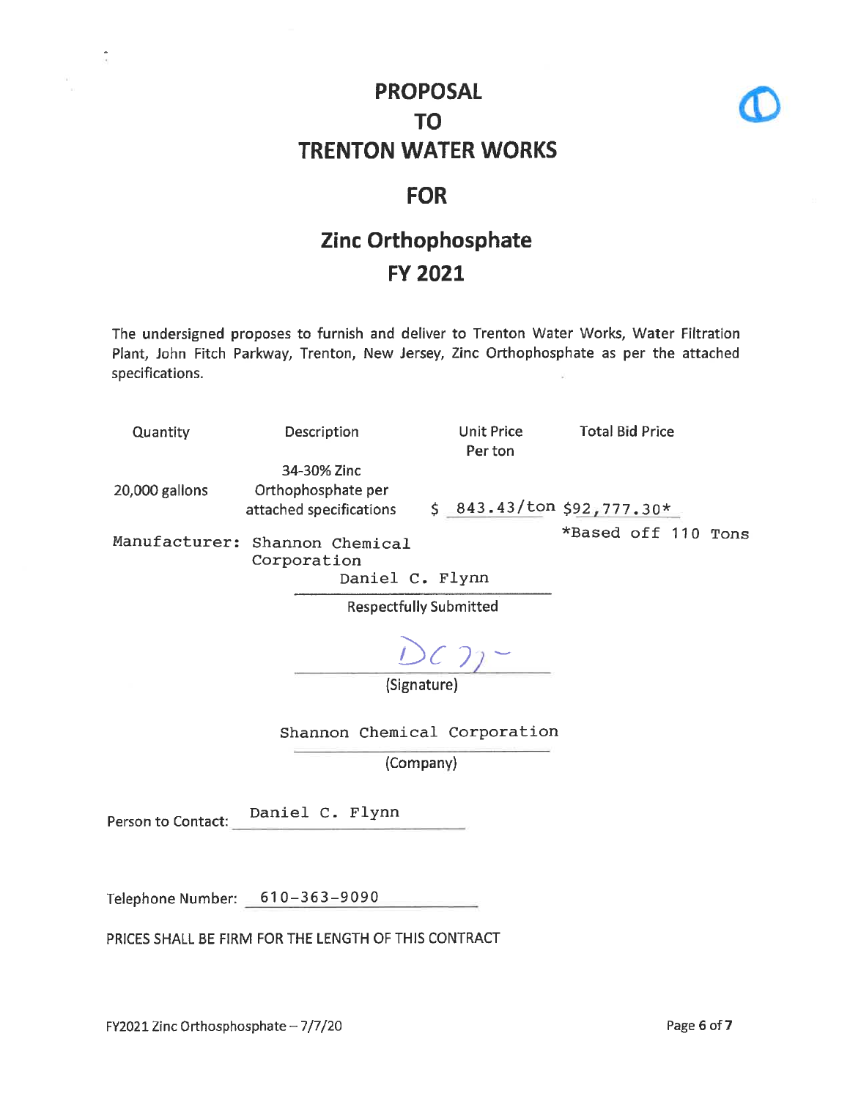

#### **FOR**

# Zinc Orthophosphate **FY 2021**

The undersigned proposes to furnish and deliver to Trenton Water Works, Water Filtration Plant, John Fitch Parkway, Trenton, New Jersey, Zinc Orthophosphate as per the attached specifications.

| Quantity                      | Description                                                      | Unit Price<br>Per ton     | <b>Total Bid Price</b> |  |  |
|-------------------------------|------------------------------------------------------------------|---------------------------|------------------------|--|--|
| 20,000 gallons                | 34-30% Zinc<br>Orthophosphate per<br>attached specifications     | $$843.43/ton $92,777.30*$ |                        |  |  |
|                               | Manufacturer: Shannon Chemical<br>Corporation<br>Daniel C. Flynn |                           | *Based off 110 Tons    |  |  |
| <b>Respectfully Submitted</b> |                                                                  |                           |                        |  |  |

(Signature)

Shannon Chemical Corporation

(Company)

Daniel C. Flynn Person to Contact:

Telephone Number: 610-363-9090

PRICES SHALL BE FIRM FOR THE LENGTH OF THIS CONTRACT

á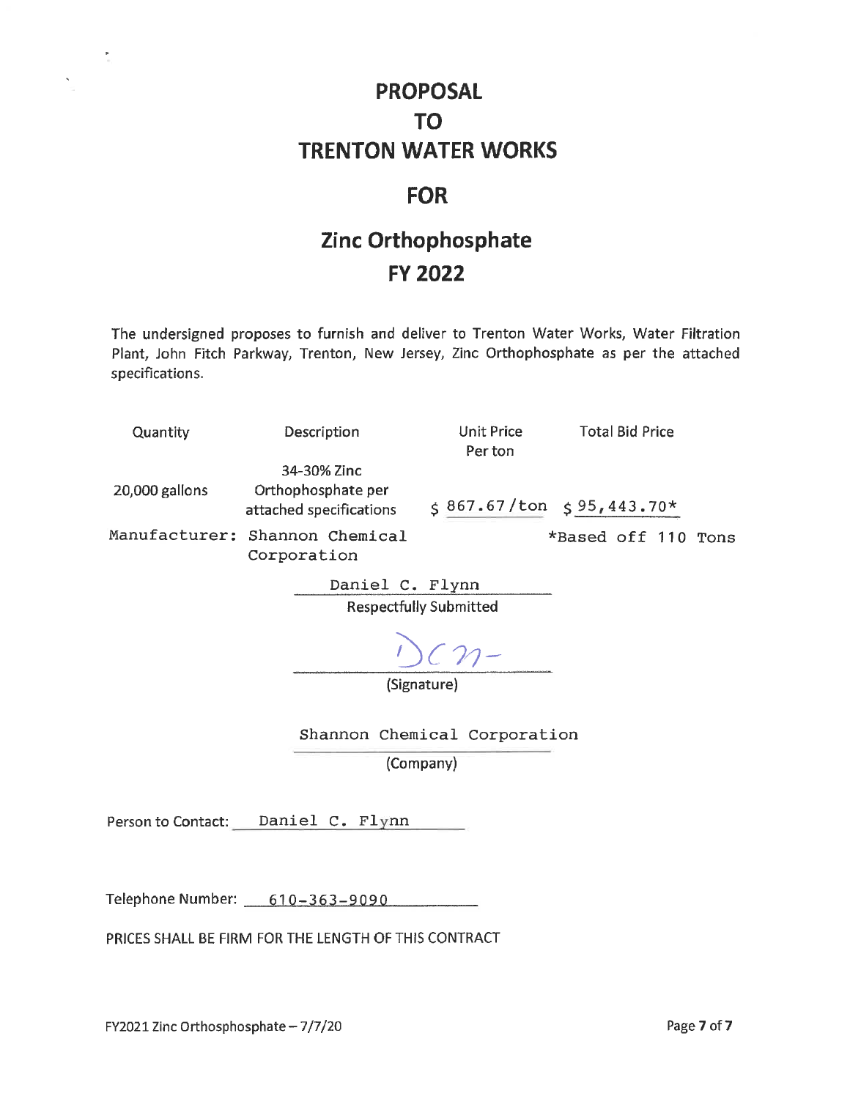#### **FOR**

# Zinc Orthophosphate **FY 2022**

The undersigned proposes to furnish and deliver to Trenton Water Works, Water Filtration Plant, John Fitch Parkway, Trenton, New Jersey, Zinc Orthophosphate as per the attached specifications.

| Quantity                                         | Description                                                  | Unit Price<br>Per ton | <b>Total Bid Price</b>    |  |  |  |
|--------------------------------------------------|--------------------------------------------------------------|-----------------------|---------------------------|--|--|--|
| 20,000 gallons                                   | 34-30% Zinc<br>Orthophosphate per<br>attached specifications |                       | $$867.67/ton $95,443.70*$ |  |  |  |
|                                                  | Manufacturer: Shannon Chemical<br>Corporation                |                       | *Based off 110 Tons       |  |  |  |
| Daniel C. Flynn<br><b>Respectfully Submitted</b> |                                                              |                       |                           |  |  |  |
|                                                  | (Signature)                                                  | $DCM-$                |                           |  |  |  |
|                                                  | Shannon Chemical Corporation                                 |                       |                           |  |  |  |
|                                                  | (Company)                                                    |                       |                           |  |  |  |
|                                                  |                                                              |                       |                           |  |  |  |

Person to Contact: Daniel C. Flynn

Telephone Number: 610-363-9090

PRICES SHALL BE FIRM FOR THE LENGTH OF THIS CONTRACT

 $\frac{\mathbf{P}}{\mathbf{E}}$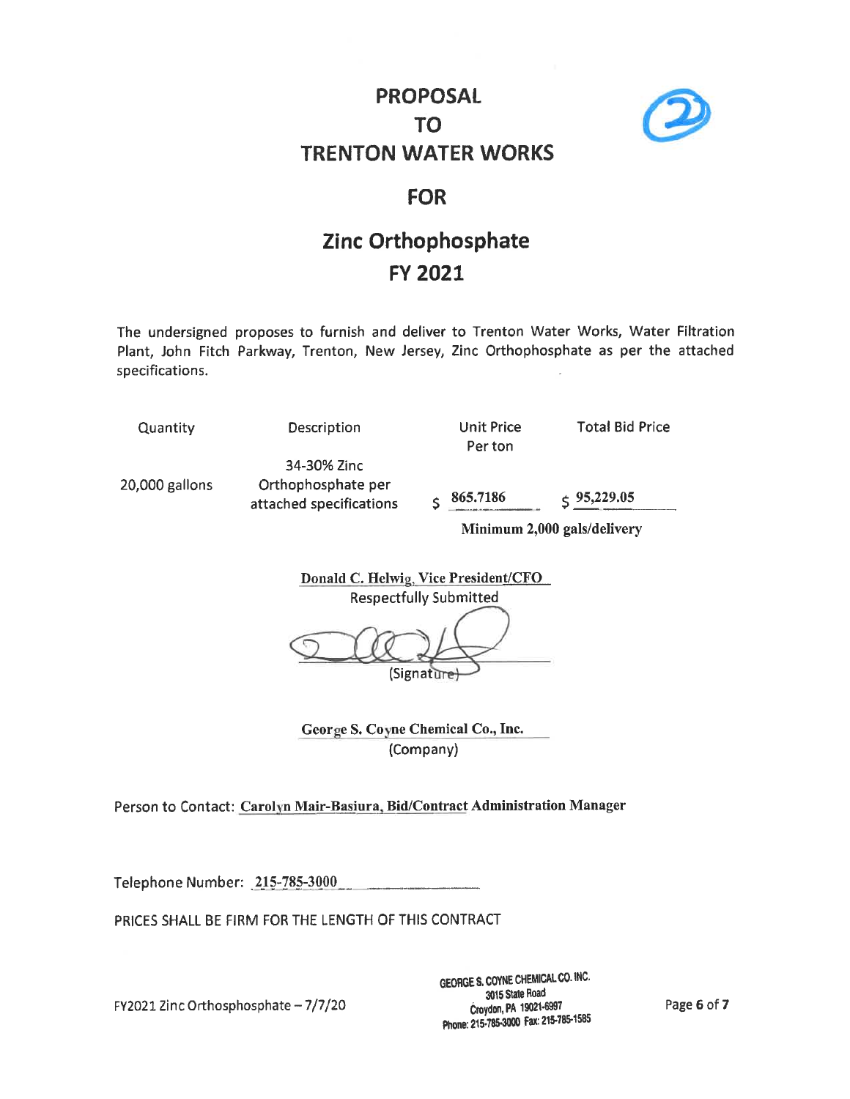

#### **FOR**

### Zinc Orthophosphate **FY 2021**

The undersigned proposes to furnish and deliver to Trenton Water Works, Water Filtration Plant, John Fitch Parkway, Trenton, New Jersey, Zinc Orthophosphate as per the attached specifications.

Quantity

20,000 gallons

Description

34-30% Zinc Orthophosphate per attached specifications Unit Price Per ton

**Total Bid Price** 

 $\zeta$  95,229.05 865.7186  $\hat{\mathbf{S}}$ 

Minimum 2,000 gals/delivery

Donald C. Helwig, Vice President/CFO **Respectfully Submitted** 

(Signature

George S. Coyne Chemical Co., Inc. (Company)

Person to Contact: Carolyn Mair-Basiura, Bid/Contract Administration Manager

Telephone Number: 215-785-3000

PRICES SHALL BE FIRM FOR THE LENGTH OF THIS CONTRACT

FY2021 Zinc Orthosphosphate - 7/7/20

GEORGE S. COYNE CHEMICAL CO. INC. 3015 State Road Croydon, PA 19021-6997 Phone: 215-785-3000 Fax: 215-785-1585

Page 6 of 7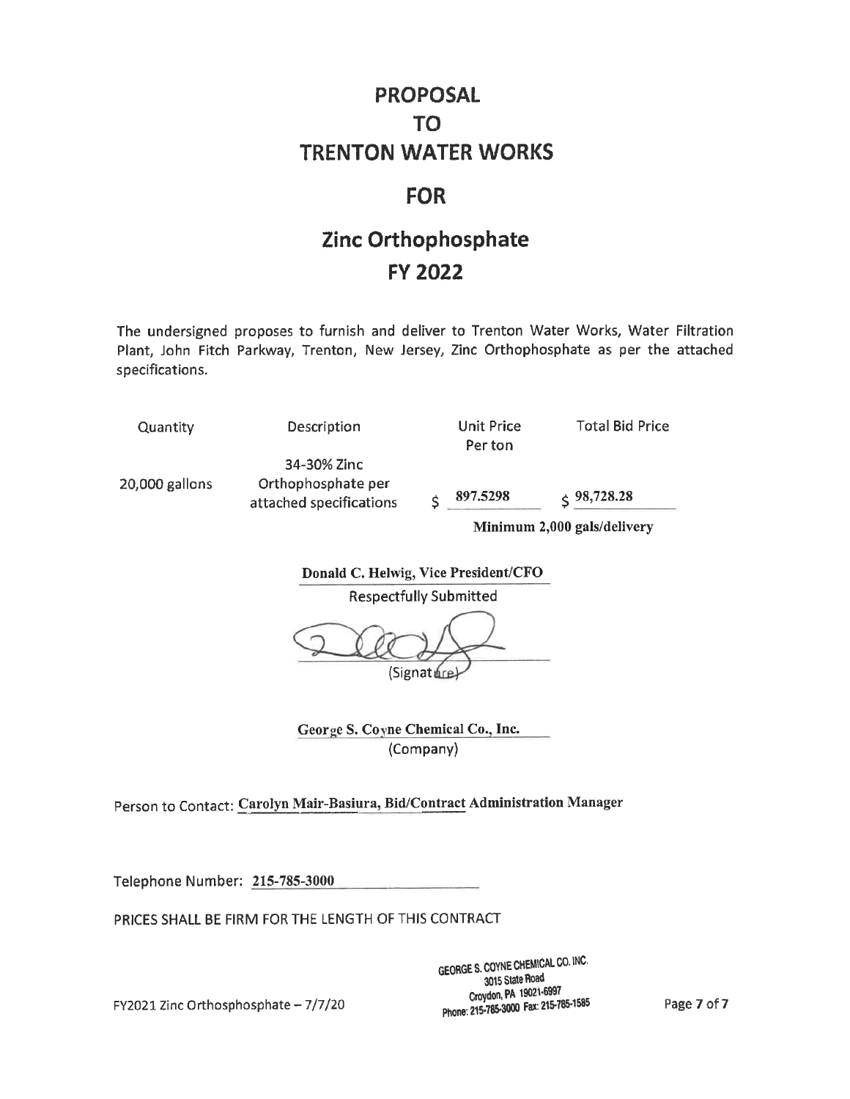### **FOR**

### Zinc Orthophosphate **FY 2022**

The undersigned proposes to furnish and deliver to Trenton Water Works, Water Filtration Plant, John Fitch Parkway, Trenton, New Jersey, Zinc Orthophosphate as per the attached specifications.

| Quantity       | Description                                                  |                             | Unit Price<br>Per ton | <b>Total Bid Price</b> |
|----------------|--------------------------------------------------------------|-----------------------------|-----------------------|------------------------|
| 20,000 gallons | 34-30% Zinc<br>Orthophosphate per<br>attached specifications |                             | 897.5298              | $\leq 98,728.28$       |
|                |                                                              | Minimum 2.000 gals/delivery |                       |                        |

Donald C. Helwig, Vice President/CFO

**Respectfully Submitted** 

(Signature)

George S. Coyne Chemical Co., Inc. (Company)

Person to Contact: Carolyn Mair-Basiura, Bid/Contract Administration Manager

Telephone Number: 215-785-3000

PRICES SHALL BE FIRM FOR THE LENGTH OF THIS CONTRACT

GEORGE S. COYNE CHEMICAL CO. INC. 3015 State Road Croydon, PA 19021-6997 Phone: 215-785-3000 Fax: 215-785-1585

Page 7 of 7

FY2021 Zinc Orthosphosphate - 7/7/20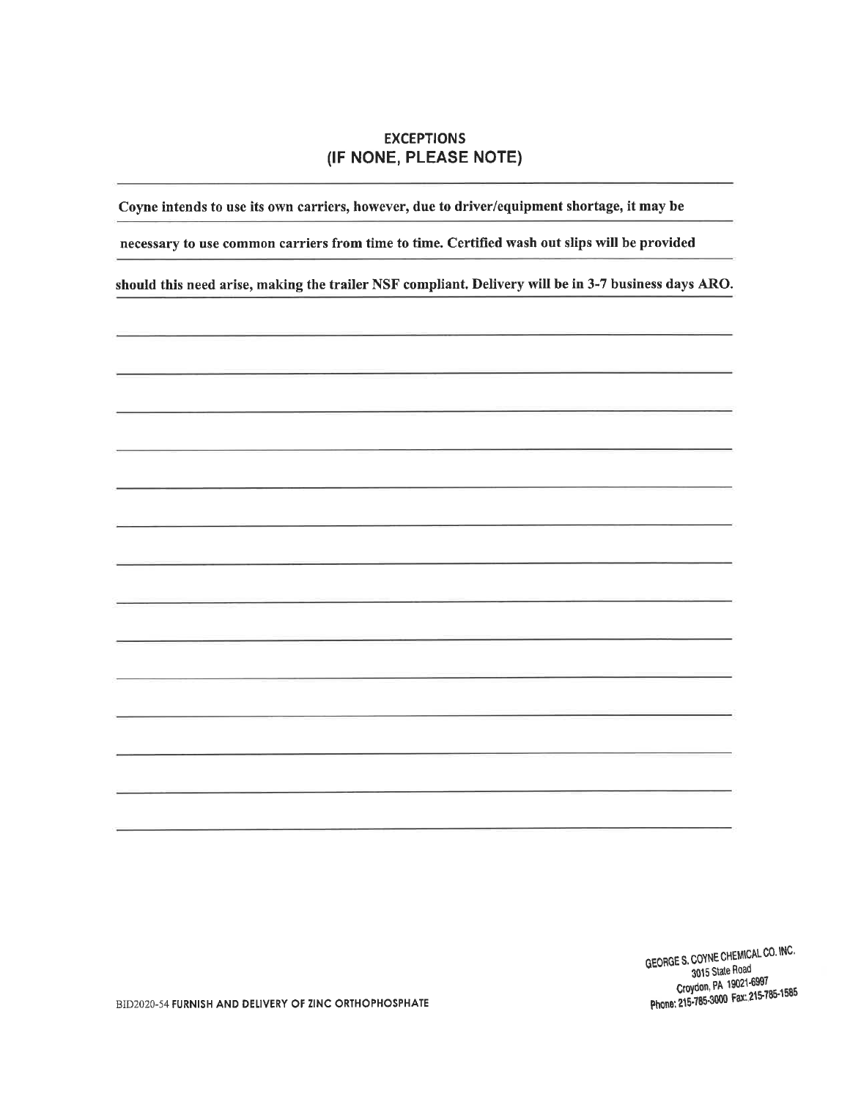#### **EXCEPTIONS** (IF NONE, PLEASE NOTE)

Coyne intends to use its own carriers, however, due to driver/equipment shortage, it may be

necessary to use common carriers from time to time. Certified wash out slips will be provided

should this need arise, making the trailer NSF compliant. Delivery will be in 3-7 business days ARO.

GEORGE S. COYNE CHEMICAL CO. INC. 3015 State Road Croydon, PA 19021-6997 Phone: 215-785-3000 Fax: 215-785-1585

BID2020-54 FURNISH AND DELIVERY OF ZINC ORTHOPHOSPHATE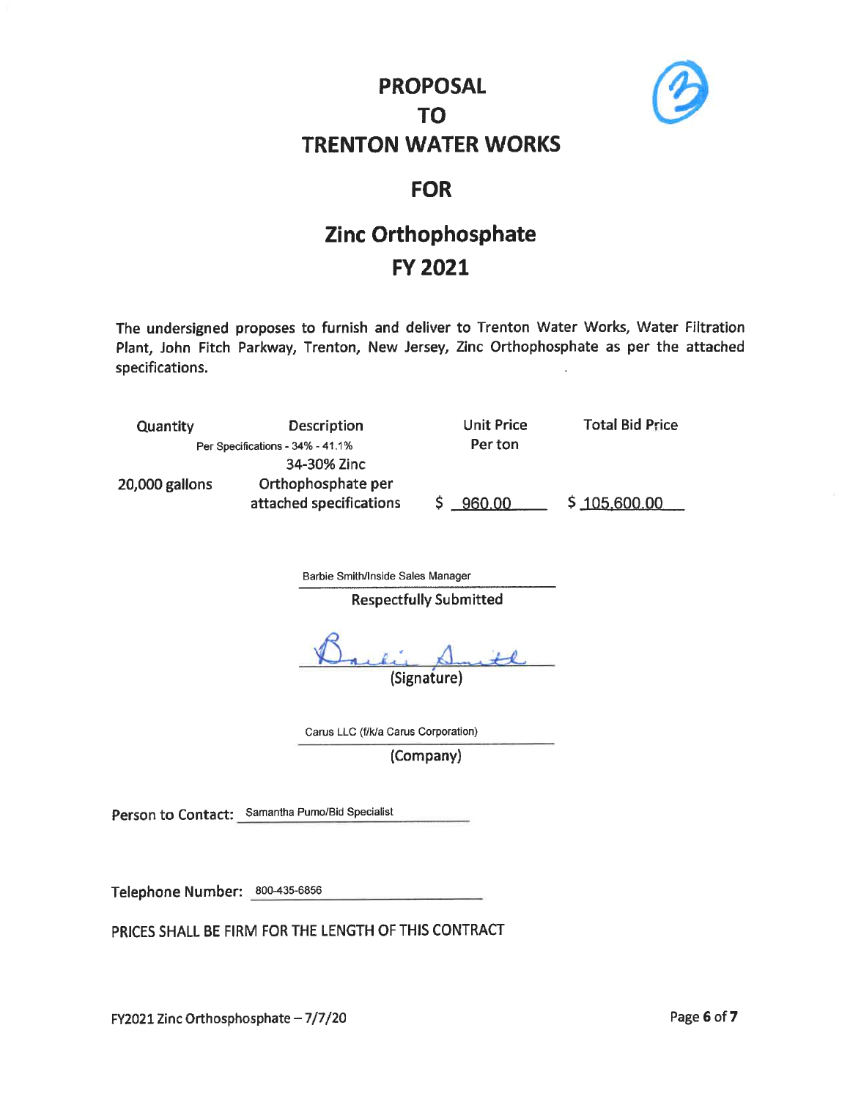

### **FOR**

# **Zinc Orthophosphate FY 2021**

The undersigned proposes to furnish and deliver to Trenton Water Works, Water Filtration Plant, John Fitch Parkway, Trenton, New Jersey, Zinc Orthophosphate as per the attached specifications.

| Quantity                         | Description             | Unit Price | <b>Total Bid Price</b> |
|----------------------------------|-------------------------|------------|------------------------|
| Per Specifications - 34% - 41.1% |                         | Per ton    |                        |
|                                  | 34-30% Zinc             |            |                        |
| 20,000 gallons                   | Orthophosphate per      |            |                        |
|                                  | attached specifications | \$960,00   | \$105,600.00           |

Barbie Smith/Inside Sales Manager

**Respectfully Submitted** 

(Signature)

Carus LLC (f/k/a Carus Corporation)

(Company)

Person to Contact: Samantha Pumo/Bid Specialist

Telephone Number: 800-435-6856

PRICES SHALL BE FIRM FOR THE LENGTH OF THIS CONTRACT

FY2021 Zinc Orthosphosphate - 7/7/20